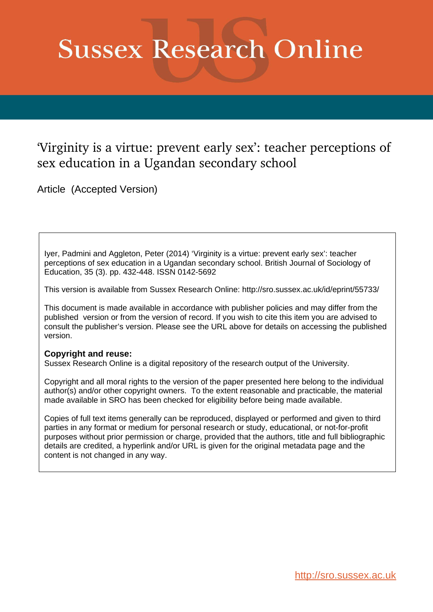# **Sussex Research Online**

## 'Virginity is a virtue: prevent early sex': teacher perceptions of sex education in a Ugandan secondary school

Article (Accepted Version)

Iyer, Padmini and Aggleton, Peter (2014) 'Virginity is a virtue: prevent early sex': teacher perceptions of sex education in a Ugandan secondary school. British Journal of Sociology of Education, 35 (3). pp. 432-448. ISSN 0142-5692

This version is available from Sussex Research Online: http://sro.sussex.ac.uk/id/eprint/55733/

This document is made available in accordance with publisher policies and may differ from the published version or from the version of record. If you wish to cite this item you are advised to consult the publisher's version. Please see the URL above for details on accessing the published version.

#### **Copyright and reuse:**

Sussex Research Online is a digital repository of the research output of the University.

Copyright and all moral rights to the version of the paper presented here belong to the individual author(s) and/or other copyright owners. To the extent reasonable and practicable, the material made available in SRO has been checked for eligibility before being made available.

Copies of full text items generally can be reproduced, displayed or performed and given to third parties in any format or medium for personal research or study, educational, or not-for-profit purposes without prior permission or charge, provided that the authors, title and full bibliographic details are credited, a hyperlink and/or URL is given for the original metadata page and the content is not changed in any way.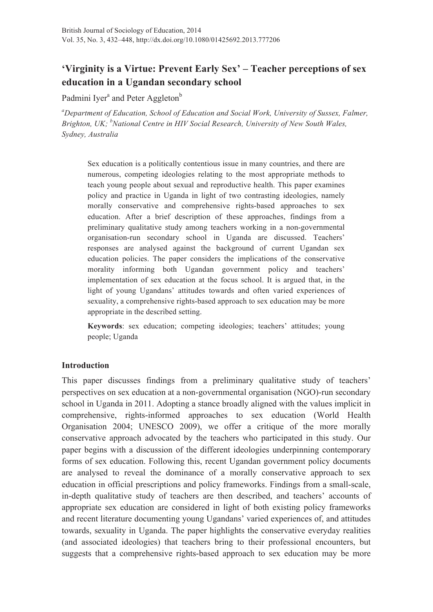### **'Virginity is a Virtue: Prevent Early Sex' – Teacher perceptions of sex education in a Ugandan secondary school**

Padmini Iyer<sup>a</sup> and Peter Aggleton<sup>b</sup>

*a Department of Education, School of Education and Social Work, University of Sussex, Falmer,*  Brighton, UK; <sup>b</sup>National Centre in HIV Social Research, University of New South Wales, *Sydney, Australia* 

Sex education is a politically contentious issue in many countries, and there are numerous, competing ideologies relating to the most appropriate methods to teach young people about sexual and reproductive health. This paper examines policy and practice in Uganda in light of two contrasting ideologies, namely morally conservative and comprehensive rights-based approaches to sex education. After a brief description of these approaches, findings from a preliminary qualitative study among teachers working in a non-governmental organisation-run secondary school in Uganda are discussed. Teachers' responses are analysed against the background of current Ugandan sex education policies. The paper considers the implications of the conservative morality informing both Ugandan government policy and teachers' implementation of sex education at the focus school. It is argued that, in the light of young Ugandans' attitudes towards and often varied experiences of sexuality, a comprehensive rights-based approach to sex education may be more appropriate in the described setting.

**Keywords**: sex education; competing ideologies; teachers' attitudes; young people; Uganda

#### **Introduction**

This paper discusses findings from a preliminary qualitative study of teachers' perspectives on sex education at a non-governmental organisation (NGO)-run secondary school in Uganda in 2011. Adopting a stance broadly aligned with the values implicit in comprehensive, rights-informed approaches to sex education (World Health Organisation 2004; UNESCO 2009), we offer a critique of the more morally conservative approach advocated by the teachers who participated in this study. Our paper begins with a discussion of the different ideologies underpinning contemporary forms of sex education. Following this, recent Ugandan government policy documents are analysed to reveal the dominance of a morally conservative approach to sex education in official prescriptions and policy frameworks. Findings from a small-scale, in-depth qualitative study of teachers are then described, and teachers' accounts of appropriate sex education are considered in light of both existing policy frameworks and recent literature documenting young Ugandans' varied experiences of, and attitudes towards, sexuality in Uganda. The paper highlights the conservative everyday realities (and associated ideologies) that teachers bring to their professional encounters, but suggests that a comprehensive rights-based approach to sex education may be more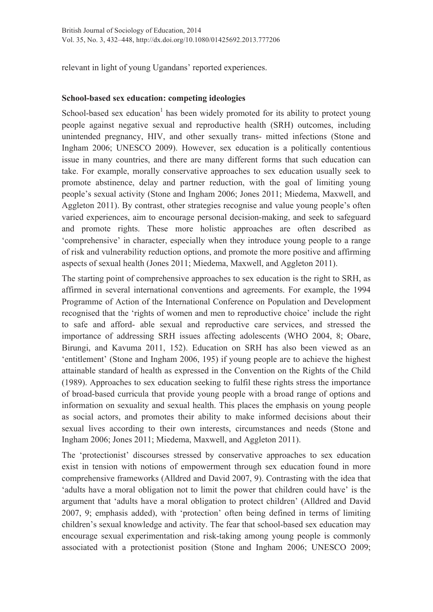relevant in light of young Ugandans' reported experiences.

#### **School-based sex education: competing ideologies**

School-based sex education<sup>1</sup> has been widely promoted for its ability to protect young people against negative sexual and reproductive health (SRH) outcomes, including unintended pregnancy, HIV, and other sexually trans- mitted infections (Stone and Ingham 2006; UNESCO 2009). However, sex education is a politically contentious issue in many countries, and there are many different forms that such education can take. For example, morally conservative approaches to sex education usually seek to promote abstinence, delay and partner reduction, with the goal of limiting young people's sexual activity (Stone and Ingham 2006; Jones 2011; Miedema, Maxwell, and Aggleton 2011). By contrast, other strategies recognise and value young people's often varied experiences, aim to encourage personal decision-making, and seek to safeguard and promote rights. These more holistic approaches are often described as 'comprehensive' in character, especially when they introduce young people to a range of risk and vulnerability reduction options, and promote the more positive and affirming aspects of sexual health (Jones 2011; Miedema, Maxwell, and Aggleton 2011).

The starting point of comprehensive approaches to sex education is the right to SRH, as affirmed in several international conventions and agreements. For example, the 1994 Programme of Action of the International Conference on Population and Development recognised that the 'rights of women and men to reproductive choice' include the right to safe and afford- able sexual and reproductive care services, and stressed the importance of addressing SRH issues affecting adolescents (WHO 2004, 8; Obare, Birungi, and Kavuma 2011, 152). Education on SRH has also been viewed as an 'entitlement' (Stone and Ingham 2006, 195) if young people are to achieve the highest attainable standard of health as expressed in the Convention on the Rights of the Child (1989). Approaches to sex education seeking to fulfil these rights stress the importance of broad-based curricula that provide young people with a broad range of options and information on sexuality and sexual health. This places the emphasis on young people as social actors, and promotes their ability to make informed decisions about their sexual lives according to their own interests, circumstances and needs (Stone and Ingham 2006; Jones 2011; Miedema, Maxwell, and Aggleton 2011).

The 'protectionist' discourses stressed by conservative approaches to sex education exist in tension with notions of empowerment through sex education found in more comprehensive frameworks (Alldred and David 2007, 9). Contrasting with the idea that 'adults have a moral obligation not to limit the power that children could have' is the argument that 'adults have a moral obligation to protect children' (Alldred and David 2007, 9; emphasis added), with 'protection' often being defined in terms of limiting children's sexual knowledge and activity. The fear that school-based sex education may encourage sexual experimentation and risk-taking among young people is commonly associated with a protectionist position (Stone and Ingham 2006; UNESCO 2009;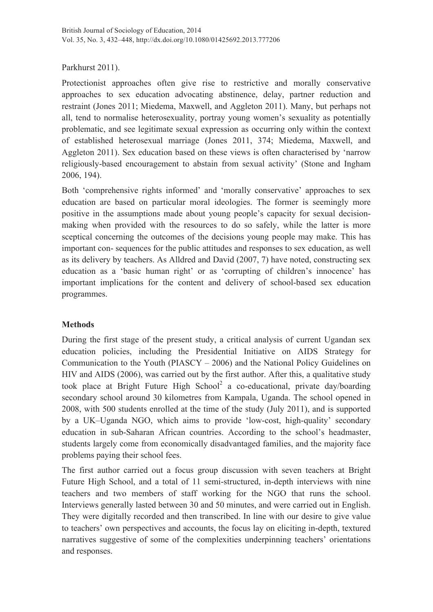#### Parkhurst 2011).

Protectionist approaches often give rise to restrictive and morally conservative approaches to sex education advocating abstinence, delay, partner reduction and restraint (Jones 2011; Miedema, Maxwell, and Aggleton 2011). Many, but perhaps not all, tend to normalise heterosexuality, portray young women's sexuality as potentially problematic, and see legitimate sexual expression as occurring only within the context of established heterosexual marriage (Jones 2011, 374; Miedema, Maxwell, and Aggleton 2011). Sex education based on these views is often characterised by 'narrow religiously-based encouragement to abstain from sexual activity' (Stone and Ingham 2006, 194).

Both 'comprehensive rights informed' and 'morally conservative' approaches to sex education are based on particular moral ideologies. The former is seemingly more positive in the assumptions made about young people's capacity for sexual decisionmaking when provided with the resources to do so safely, while the latter is more sceptical concerning the outcomes of the decisions young people may make. This has important con- sequences for the public attitudes and responses to sex education, as well as its delivery by teachers. As Alldred and David (2007, 7) have noted, constructing sex education as a 'basic human right' or as 'corrupting of children's innocence' has important implications for the content and delivery of school-based sex education programmes.

#### **Methods**

During the first stage of the present study, a critical analysis of current Ugandan sex education policies, including the Presidential Initiative on AIDS Strategy for Communication to the Youth (PIASCY – 2006) and the National Policy Guidelines on HIV and AIDS (2006), was carried out by the first author. After this, a qualitative study took place at Bright Future High School<sup>2</sup> a co-educational, private day/boarding secondary school around 30 kilometres from Kampala, Uganda. The school opened in 2008, with 500 students enrolled at the time of the study (July 2011), and is supported by a UK–Uganda NGO, which aims to provide 'low-cost, high-quality' secondary education in sub-Saharan African countries. According to the school's headmaster, students largely come from economically disadvantaged families, and the majority face problems paying their school fees.

The first author carried out a focus group discussion with seven teachers at Bright Future High School, and a total of 11 semi-structured, in-depth interviews with nine teachers and two members of staff working for the NGO that runs the school. Interviews generally lasted between 30 and 50 minutes, and were carried out in English. They were digitally recorded and then transcribed. In line with our desire to give value to teachers' own perspectives and accounts, the focus lay on eliciting in-depth, textured narratives suggestive of some of the complexities underpinning teachers' orientations and responses.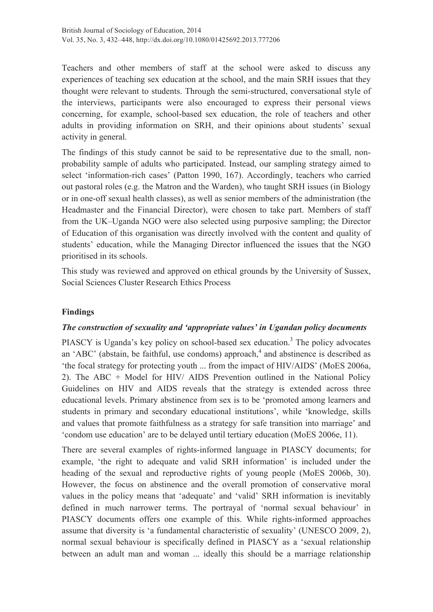Teachers and other members of staff at the school were asked to discuss any experiences of teaching sex education at the school, and the main SRH issues that they thought were relevant to students. Through the semi-structured, conversational style of the interviews, participants were also encouraged to express their personal views concerning, for example, school-based sex education, the role of teachers and other adults in providing information on SRH, and their opinions about students' sexual activity in general.

The findings of this study cannot be said to be representative due to the small, nonprobability sample of adults who participated. Instead, our sampling strategy aimed to select 'information-rich cases' (Patton 1990, 167). Accordingly, teachers who carried out pastoral roles (e.g. the Matron and the Warden), who taught SRH issues (in Biology or in one-off sexual health classes), as well as senior members of the administration (the Headmaster and the Financial Director), were chosen to take part. Members of staff from the UK–Uganda NGO were also selected using purposive sampling; the Director of Education of this organisation was directly involved with the content and quality of students' education, while the Managing Director influenced the issues that the NGO prioritised in its schools.

This study was reviewed and approved on ethical grounds by the University of Sussex, Social Sciences Cluster Research Ethics Process

#### **Findings**

#### *The construction of sexuality and 'appropriate values' in Ugandan policy documents*

PIASCY is Uganda's key policy on school-based sex education.<sup>3</sup> The policy advocates an 'ABC' (abstain, be faithful, use condoms) approach,  $4$  and abstinence is described as 'the focal strategy for protecting youth ... from the impact of HIV/AIDS' (MoES 2006a, 2). The ABC + Model for HIV/ AIDS Prevention outlined in the National Policy Guidelines on HIV and AIDS reveals that the strategy is extended across three educational levels. Primary abstinence from sex is to be 'promoted among learners and students in primary and secondary educational institutions', while 'knowledge, skills and values that promote faithfulness as a strategy for safe transition into marriage' and 'condom use education' are to be delayed until tertiary education (MoES 2006e, 11).

There are several examples of rights-informed language in PIASCY documents; for example, 'the right to adequate and valid SRH information' is included under the heading of the sexual and reproductive rights of young people (MoES 2006b, 30). However, the focus on abstinence and the overall promotion of conservative moral values in the policy means that 'adequate' and 'valid' SRH information is inevitably defined in much narrower terms. The portrayal of 'normal sexual behaviour' in PIASCY documents offers one example of this. While rights-informed approaches assume that diversity is 'a fundamental characteristic of sexuality' (UNESCO 2009, 2), normal sexual behaviour is specifically defined in PIASCY as a 'sexual relationship between an adult man and woman ... ideally this should be a marriage relationship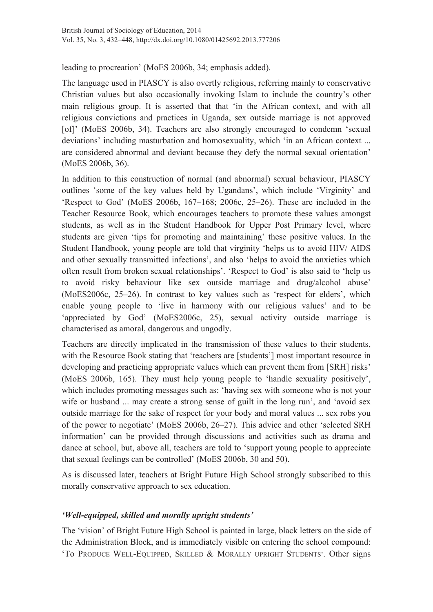leading to procreation' (MoES 2006b, 34; emphasis added).

The language used in PIASCY is also overtly religious, referring mainly to conservative Christian values but also occasionally invoking Islam to include the country's other main religious group. It is asserted that that 'in the African context, and with all religious convictions and practices in Uganda, sex outside marriage is not approved [of]' (MoES 2006b, 34). Teachers are also strongly encouraged to condemn 'sexual deviations' including masturbation and homosexuality, which 'in an African context ... are considered abnormal and deviant because they defy the normal sexual orientation' (MoES 2006b, 36).

In addition to this construction of normal (and abnormal) sexual behaviour, PIASCY outlines 'some of the key values held by Ugandans', which include 'Virginity' and 'Respect to God' (MoES 2006b, 167–168; 2006c, 25–26). These are included in the Teacher Resource Book, which encourages teachers to promote these values amongst students, as well as in the Student Handbook for Upper Post Primary level, where students are given 'tips for promoting and maintaining' these positive values. In the Student Handbook, young people are told that virginity 'helps us to avoid HIV/ AIDS and other sexually transmitted infections', and also 'helps to avoid the anxieties which often result from broken sexual relationships'. 'Respect to God' is also said to 'help us to avoid risky behaviour like sex outside marriage and drug/alcohol abuse' (MoES2006c, 25–26). In contrast to key values such as 'respect for elders', which enable young people to 'live in harmony with our religious values' and to be 'appreciated by God' (MoES2006c, 25), sexual activity outside marriage is characterised as amoral, dangerous and ungodly.

Teachers are directly implicated in the transmission of these values to their students, with the Resource Book stating that 'teachers are [students'] most important resource in developing and practicing appropriate values which can prevent them from [SRH] risks' (MoES 2006b, 165). They must help young people to 'handle sexuality positively', which includes promoting messages such as: 'having sex with someone who is not your wife or husband ... may create a strong sense of guilt in the long run', and 'avoid sex outside marriage for the sake of respect for your body and moral values ... sex robs you of the power to negotiate' (MoES 2006b, 26–27). This advice and other 'selected SRH information' can be provided through discussions and activities such as drama and dance at school, but, above all, teachers are told to 'support young people to appreciate that sexual feelings can be controlled' (MoES 2006b, 30 and 50).

As is discussed later, teachers at Bright Future High School strongly subscribed to this morally conservative approach to sex education.

#### *'Well-equipped, skilled and morally upright students'*

The 'vision' of Bright Future High School is painted in large, black letters on the side of the Administration Block, and is immediately visible on entering the school compound: 'To PRODUCE WELL-EQUIPPED, SKILLED & MORALLY UPRIGHT STUDENTS'. Other signs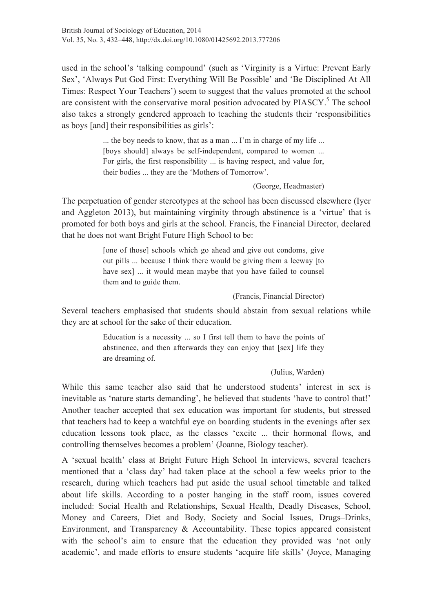used in the school's 'talking compound' (such as 'Virginity is a Virtue: Prevent Early Sex', 'Always Put God First: Everything Will Be Possible' and 'Be Disciplined At All Times: Respect Your Teachers') seem to suggest that the values promoted at the school are consistent with the conservative moral position advocated by  $PIASCY$ .<sup>5</sup> The school also takes a strongly gendered approach to teaching the students their 'responsibilities as boys [and] their responsibilities as girls':

> ... the boy needs to know, that as a man ... I'm in charge of my life ... [boys should] always be self-independent, compared to women ... For girls, the first responsibility ... is having respect, and value for, their bodies ... they are the 'Mothers of Tomorrow'.

#### (George, Headmaster)

The perpetuation of gender stereotypes at the school has been discussed elsewhere (Iyer and Aggleton 2013), but maintaining virginity through abstinence is a 'virtue' that is promoted for both boys and girls at the school. Francis, the Financial Director, declared that he does not want Bright Future High School to be:

> [one of those] schools which go ahead and give out condoms, give out pills ... because I think there would be giving them a leeway [to have sex] ... it would mean maybe that you have failed to counsel them and to guide them.

> > (Francis, Financial Director)

Several teachers emphasised that students should abstain from sexual relations while they are at school for the sake of their education.

> Education is a necessity ... so I first tell them to have the points of abstinence, and then afterwards they can enjoy that [sex] life they are dreaming of.

#### (Julius, Warden)

While this same teacher also said that he understood students' interest in sex is inevitable as 'nature starts demanding', he believed that students 'have to control that!' Another teacher accepted that sex education was important for students, but stressed that teachers had to keep a watchful eye on boarding students in the evenings after sex education lessons took place, as the classes 'excite ... their hormonal flows, and controlling themselves becomes a problem' (Joanne, Biology teacher).

A 'sexual health' class at Bright Future High School In interviews, several teachers mentioned that a 'class day' had taken place at the school a few weeks prior to the research, during which teachers had put aside the usual school timetable and talked about life skills. According to a poster hanging in the staff room, issues covered included: Social Health and Relationships, Sexual Health, Deadly Diseases, School, Money and Careers, Diet and Body, Society and Social Issues, Drugs–Drinks, Environment, and Transparency & Accountability. These topics appeared consistent with the school's aim to ensure that the education they provided was 'not only academic', and made efforts to ensure students 'acquire life skills' (Joyce, Managing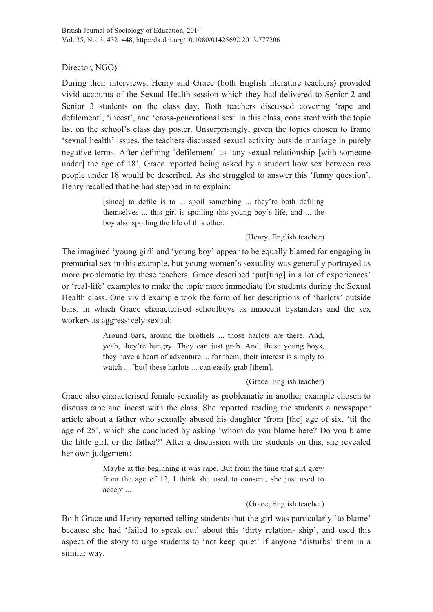Director, NGO).

During their interviews, Henry and Grace (both English literature teachers) provided vivid accounts of the Sexual Health session which they had delivered to Senior 2 and Senior 3 students on the class day. Both teachers discussed covering 'rape and defilement', 'incest', and 'cross-generational sex' in this class, consistent with the topic list on the school's class day poster. Unsurprisingly, given the topics chosen to frame 'sexual health' issues, the teachers discussed sexual activity outside marriage in purely negative terms. After defining 'defilement' as 'any sexual relationship [with someone under] the age of 18', Grace reported being asked by a student how sex between two people under 18 would be described. As she struggled to answer this 'funny question', Henry recalled that he had stepped in to explain:

> [since] to defile is to ... spoil something ... they're both defiling themselves ... this girl is spoiling this young boy's life, and ... the boy also spoiling the life of this other.

#### (Henry, English teacher)

The imagined 'young girl' and 'young boy' appear to be equally blamed for engaging in premarital sex in this example, but young women's sexuality was generally portrayed as more problematic by these teachers. Grace described 'putiting] in a lot of experiences' or 'real-life' examples to make the topic more immediate for students during the Sexual Health class. One vivid example took the form of her descriptions of 'harlots' outside bars, in which Grace characterised schoolboys as innocent bystanders and the sex workers as aggressively sexual:

> Around bars, around the brothels ... those harlots are there. And, yeah, they're hungry. They can just grab. And, these young boys, they have a heart of adventure ... for them, their interest is simply to watch ... [but] these harlots ... can easily grab [them].

> > (Grace, English teacher)

Grace also characterised female sexuality as problematic in another example chosen to discuss rape and incest with the class. She reported reading the students a newspaper article about a father who sexually abused his daughter 'from [the] age of six, 'til the age of 25', which she concluded by asking 'whom do you blame here? Do you blame the little girl, or the father?' After a discussion with the students on this, she revealed her own judgement:

> Maybe at the beginning it was rape. But from the time that girl grew from the age of 12, I think she used to consent, she just used to accept ...

> > (Grace, English teacher)

Both Grace and Henry reported telling students that the girl was particularly 'to blame' because she had 'failed to speak out' about this 'dirty relation- ship', and used this aspect of the story to urge students to 'not keep quiet' if anyone 'disturbs' them in a similar way.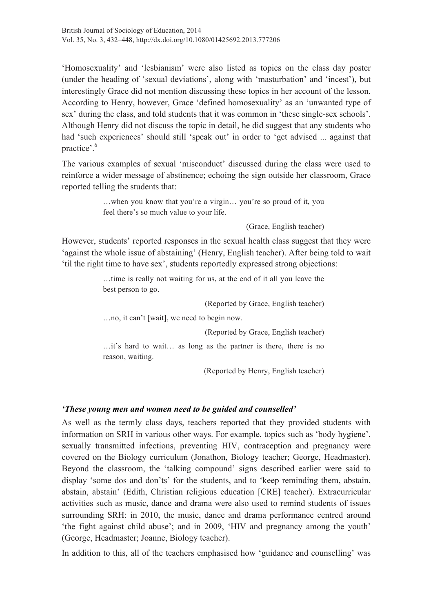'Homosexuality' and 'lesbianism' were also listed as topics on the class day poster (under the heading of 'sexual deviations', along with 'masturbation' and 'incest'), but interestingly Grace did not mention discussing these topics in her account of the lesson. According to Henry, however, Grace 'defined homosexuality' as an 'unwanted type of sex' during the class, and told students that it was common in 'these single-sex schools'. Although Henry did not discuss the topic in detail, he did suggest that any students who had 'such experiences' should still 'speak out' in order to 'get advised ... against that practice'.<sup>6</sup>

The various examples of sexual 'misconduct' discussed during the class were used to reinforce a wider message of abstinence; echoing the sign outside her classroom, Grace reported telling the students that:

> …when you know that you're a virgin… you're so proud of it, you feel there's so much value to your life.

> > (Grace, English teacher)

However, students' reported responses in the sexual health class suggest that they were 'against the whole issue of abstaining' (Henry, English teacher). After being told to wait 'til the right time to have sex', students reportedly expressed strong objections:

> …time is really not waiting for us, at the end of it all you leave the best person to go.

> > (Reported by Grace, English teacher)

…no, it can't [wait], we need to begin now.

(Reported by Grace, English teacher)

…it's hard to wait… as long as the partner is there, there is no reason, waiting.

(Reported by Henry, English teacher)

#### *'These young men and women need to be guided and counselled'*

As well as the termly class days, teachers reported that they provided students with information on SRH in various other ways. For example, topics such as 'body hygiene', sexually transmitted infections, preventing HIV, contraception and pregnancy were covered on the Biology curriculum (Jonathon, Biology teacher; George, Headmaster). Beyond the classroom, the 'talking compound' signs described earlier were said to display 'some dos and don'ts' for the students, and to 'keep reminding them, abstain, abstain, abstain' (Edith, Christian religious education [CRE] teacher). Extracurricular activities such as music, dance and drama were also used to remind students of issues surrounding SRH: in 2010, the music, dance and drama performance centred around 'the fight against child abuse'; and in 2009, 'HIV and pregnancy among the youth' (George, Headmaster; Joanne, Biology teacher).

In addition to this, all of the teachers emphasised how 'guidance and counselling' was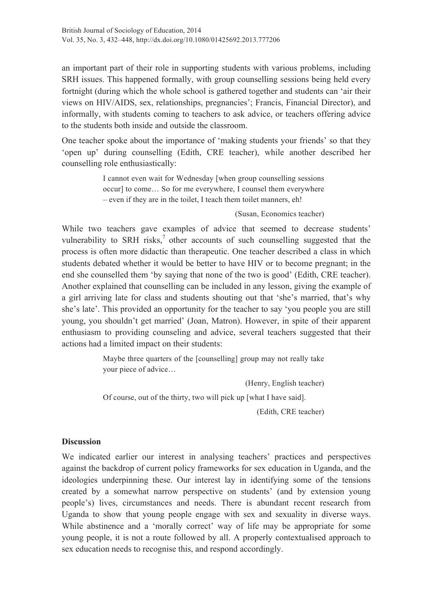an important part of their role in supporting students with various problems, including SRH issues. This happened formally, with group counselling sessions being held every fortnight (during which the whole school is gathered together and students can 'air their views on HIV/AIDS, sex, relationships, pregnancies'; Francis, Financial Director), and informally, with students coming to teachers to ask advice, or teachers offering advice to the students both inside and outside the classroom.

One teacher spoke about the importance of 'making students your friends' so that they 'open up' during counselling (Edith, CRE teacher), while another described her counselling role enthusiastically:

> I cannot even wait for Wednesday [when group counselling sessions occur] to come… So for me everywhere, I counsel them everywhere – even if they are in the toilet, I teach them toilet manners, eh!

#### (Susan, Economics teacher)

While two teachers gave examples of advice that seemed to decrease students' vulnerability to SRH risks, $\frac{7}{1}$  other accounts of such counselling suggested that the process is often more didactic than therapeutic. One teacher described a class in which students debated whether it would be better to have HIV or to become pregnant; in the end she counselled them 'by saying that none of the two is good' (Edith, CRE teacher). Another explained that counselling can be included in any lesson, giving the example of a girl arriving late for class and students shouting out that 'she's married, that's why she's late'. This provided an opportunity for the teacher to say 'you people you are still young, you shouldn't get married' (Joan, Matron). However, in spite of their apparent enthusiasm to providing counseling and advice, several teachers suggested that their actions had a limited impact on their students:

> Maybe three quarters of the [counselling] group may not really take your piece of advice…

> > (Henry, English teacher)

Of course, out of the thirty, two will pick up [what I have said].

(Edith, CRE teacher)

#### **Discussion**

We indicated earlier our interest in analysing teachers' practices and perspectives against the backdrop of current policy frameworks for sex education in Uganda, and the ideologies underpinning these. Our interest lay in identifying some of the tensions created by a somewhat narrow perspective on students' (and by extension young people's) lives, circumstances and needs. There is abundant recent research from Uganda to show that young people engage with sex and sexuality in diverse ways. While abstinence and a 'morally correct' way of life may be appropriate for some young people, it is not a route followed by all. A properly contextualised approach to sex education needs to recognise this, and respond accordingly.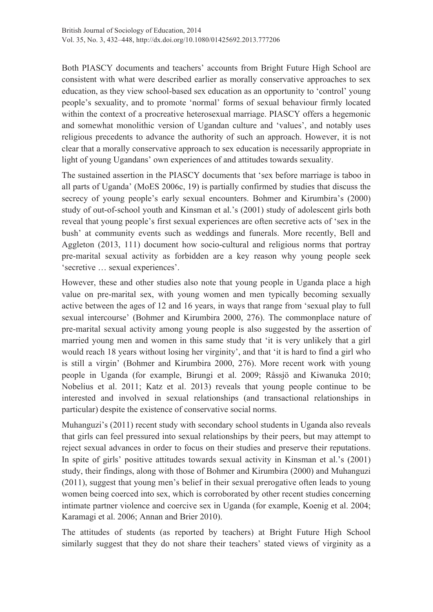Both PIASCY documents and teachers' accounts from Bright Future High School are consistent with what were described earlier as morally conservative approaches to sex education, as they view school-based sex education as an opportunity to 'control' young people's sexuality, and to promote 'normal' forms of sexual behaviour firmly located within the context of a procreative heterosexual marriage. PIASCY offers a hegemonic and somewhat monolithic version of Ugandan culture and 'values', and notably uses religious precedents to advance the authority of such an approach. However, it is not clear that a morally conservative approach to sex education is necessarily appropriate in light of young Ugandans' own experiences of and attitudes towards sexuality.

The sustained assertion in the PIASCY documents that 'sex before marriage is taboo in all parts of Uganda' (MoES 2006c, 19) is partially confirmed by studies that discuss the secrecy of young people's early sexual encounters. Bohmer and Kirumbira's (2000) study of out-of-school youth and Kinsman et al.'s (2001) study of adolescent girls both reveal that young people's first sexual experiences are often secretive acts of 'sex in the bush' at community events such as weddings and funerals. More recently, Bell and Aggleton (2013, 111) document how socio-cultural and religious norms that portray pre-marital sexual activity as forbidden are a key reason why young people seek 'secretive … sexual experiences'.

However, these and other studies also note that young people in Uganda place a high value on pre-marital sex, with young women and men typically becoming sexually active between the ages of 12 and 16 years, in ways that range from 'sexual play to full sexual intercourse' (Bohmer and Kirumbira 2000, 276). The commonplace nature of pre-marital sexual activity among young people is also suggested by the assertion of married young men and women in this same study that 'it is very unlikely that a girl would reach 18 years without losing her virginity', and that 'it is hard to find a girl who is still a virgin' (Bohmer and Kirumbira 2000, 276). More recent work with young people in Uganda (for example, Birungi et al. 2009; Råssjö and Kiwanuka 2010; Nobelius et al. 2011; Katz et al. 2013) reveals that young people continue to be interested and involved in sexual relationships (and transactional relationships in particular) despite the existence of conservative social norms.

Muhanguzi's (2011) recent study with secondary school students in Uganda also reveals that girls can feel pressured into sexual relationships by their peers, but may attempt to reject sexual advances in order to focus on their studies and preserve their reputations. In spite of girls' positive attitudes towards sexual activity in Kinsman et al.'s (2001) study, their findings, along with those of Bohmer and Kirumbira (2000) and Muhanguzi (2011), suggest that young men's belief in their sexual prerogative often leads to young women being coerced into sex, which is corroborated by other recent studies concerning intimate partner violence and coercive sex in Uganda (for example, Koenig et al. 2004; Karamagi et al. 2006; Annan and Brier 2010).

The attitudes of students (as reported by teachers) at Bright Future High School similarly suggest that they do not share their teachers' stated views of virginity as a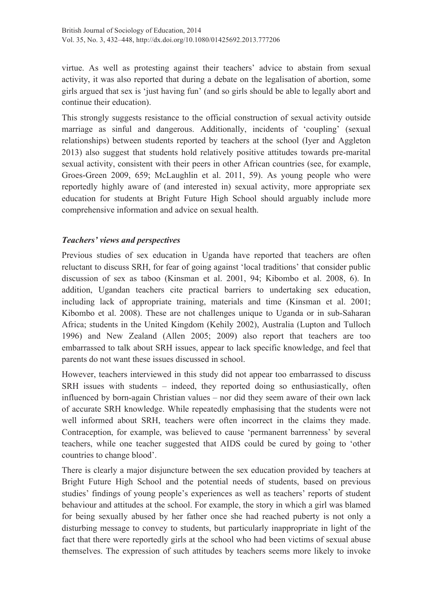virtue. As well as protesting against their teachers' advice to abstain from sexual activity, it was also reported that during a debate on the legalisation of abortion, some girls argued that sex is 'just having fun' (and so girls should be able to legally abort and continue their education).

This strongly suggests resistance to the official construction of sexual activity outside marriage as sinful and dangerous. Additionally, incidents of 'coupling' (sexual relationships) between students reported by teachers at the school (Iyer and Aggleton 2013) also suggest that students hold relatively positive attitudes towards pre-marital sexual activity, consistent with their peers in other African countries (see, for example, Groes-Green 2009, 659; McLaughlin et al. 2011, 59). As young people who were reportedly highly aware of (and interested in) sexual activity, more appropriate sex education for students at Bright Future High School should arguably include more comprehensive information and advice on sexual health.

#### *Teachers' views and perspectives*

Previous studies of sex education in Uganda have reported that teachers are often reluctant to discuss SRH, for fear of going against 'local traditions' that consider public discussion of sex as taboo (Kinsman et al. 2001, 94; Kibombo et al. 2008, 6). In addition, Ugandan teachers cite practical barriers to undertaking sex education, including lack of appropriate training, materials and time (Kinsman et al. 2001; Kibombo et al. 2008). These are not challenges unique to Uganda or in sub-Saharan Africa; students in the United Kingdom (Kehily 2002), Australia (Lupton and Tulloch 1996) and New Zealand (Allen 2005; 2009) also report that teachers are too embarrassed to talk about SRH issues, appear to lack specific knowledge, and feel that parents do not want these issues discussed in school.

However, teachers interviewed in this study did not appear too embarrassed to discuss SRH issues with students – indeed, they reported doing so enthusiastically, often influenced by born-again Christian values – nor did they seem aware of their own lack of accurate SRH knowledge. While repeatedly emphasising that the students were not well informed about SRH, teachers were often incorrect in the claims they made. Contraception, for example, was believed to cause 'permanent barrenness' by several teachers, while one teacher suggested that AIDS could be cured by going to 'other countries to change blood'.

There is clearly a major disjuncture between the sex education provided by teachers at Bright Future High School and the potential needs of students, based on previous studies' findings of young people's experiences as well as teachers' reports of student behaviour and attitudes at the school. For example, the story in which a girl was blamed for being sexually abused by her father once she had reached puberty is not only a disturbing message to convey to students, but particularly inappropriate in light of the fact that there were reportedly girls at the school who had been victims of sexual abuse themselves. The expression of such attitudes by teachers seems more likely to invoke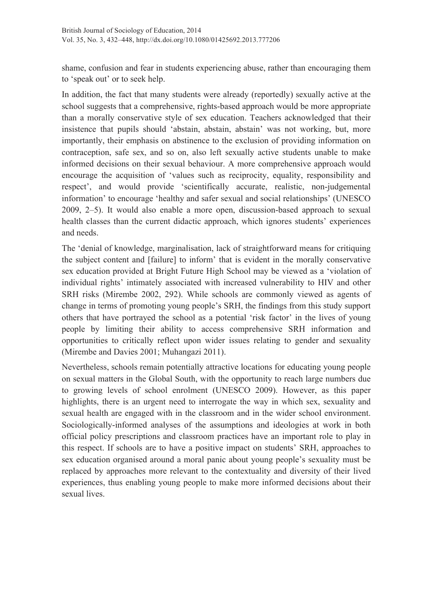shame, confusion and fear in students experiencing abuse, rather than encouraging them to 'speak out' or to seek help.

In addition, the fact that many students were already (reportedly) sexually active at the school suggests that a comprehensive, rights-based approach would be more appropriate than a morally conservative style of sex education. Teachers acknowledged that their insistence that pupils should 'abstain, abstain, abstain' was not working, but, more importantly, their emphasis on abstinence to the exclusion of providing information on contraception, safe sex, and so on, also left sexually active students unable to make informed decisions on their sexual behaviour. A more comprehensive approach would encourage the acquisition of 'values such as reciprocity, equality, responsibility and respect', and would provide 'scientifically accurate, realistic, non-judgemental information' to encourage 'healthy and safer sexual and social relationships' (UNESCO 2009, 2–5). It would also enable a more open, discussion-based approach to sexual health classes than the current didactic approach, which ignores students' experiences and needs.

The 'denial of knowledge, marginalisation, lack of straightforward means for critiquing the subject content and [failure] to inform' that is evident in the morally conservative sex education provided at Bright Future High School may be viewed as a 'violation of individual rights' intimately associated with increased vulnerability to HIV and other SRH risks (Mirembe 2002, 292). While schools are commonly viewed as agents of change in terms of promoting young people's SRH, the findings from this study support others that have portrayed the school as a potential 'risk factor' in the lives of young people by limiting their ability to access comprehensive SRH information and opportunities to critically reflect upon wider issues relating to gender and sexuality (Mirembe and Davies 2001; Muhangazi 2011).

Nevertheless, schools remain potentially attractive locations for educating young people on sexual matters in the Global South, with the opportunity to reach large numbers due to growing levels of school enrolment (UNESCO 2009). However, as this paper highlights, there is an urgent need to interrogate the way in which sex, sexuality and sexual health are engaged with in the classroom and in the wider school environment. Sociologically-informed analyses of the assumptions and ideologies at work in both official policy prescriptions and classroom practices have an important role to play in this respect. If schools are to have a positive impact on students' SRH, approaches to sex education organised around a moral panic about young people's sexuality must be replaced by approaches more relevant to the contextuality and diversity of their lived experiences, thus enabling young people to make more informed decisions about their sexual lives.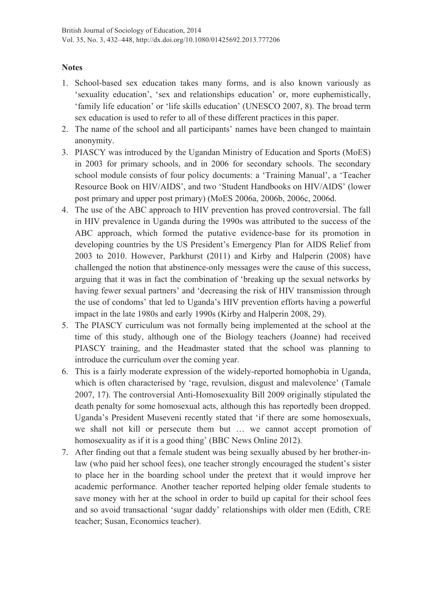#### **Notes**

- 1. School-based sex education takes many forms, and is also known variously as 'sexuality education', 'sex and relationships education' or, more euphemistically, 'family life education' or 'life skills education' (UNESCO 2007, 8). The broad term sex education is used to refer to all of these different practices in this paper.
- 2. The name of the school and all participants' names have been changed to maintain anonymity.
- 3. PIASCY was introduced by the Ugandan Ministry of Education and Sports (MoES) in 2003 for primary schools, and in 2006 for secondary schools. The secondary school module consists of four policy documents: a 'Training Manual', a 'Teacher Resource Book on HIV/AIDS', and two 'Student Handbooks on HIV/AIDS' (lower post primary and upper post primary) (MoES 2006a, 2006b, 2006c, 2006d.
- 4. The use of the ABC approach to HIV prevention has proved controversial. The fall in HIV prevalence in Uganda during the 1990s was attributed to the success of the ABC approach, which formed the putative evidence-base for its promotion in developing countries by the US President's Emergency Plan for AIDS Relief from 2003 to 2010. However, Parkhurst (2011) and Kirby and Halperin (2008) have challenged the notion that abstinence-only messages were the cause of this success, arguing that it was in fact the combination of 'breaking up the sexual networks by having fewer sexual partners' and 'decreasing the risk of HIV transmission through the use of condoms' that led to Uganda's HIV prevention efforts having a powerful impact in the late 1980s and early 1990s (Kirby and Halperin 2008, 29).
- 5. The PIASCY curriculum was not formally being implemented at the school at the time of this study, although one of the Biology teachers (Joanne) had received PIASCY training, and the Headmaster stated that the school was planning to introduce the curriculum over the coming year.
- 6. This is a fairly moderate expression of the widely-reported homophobia in Uganda, which is often characterised by 'rage, revulsion, disgust and malevolence' (Tamale 2007, 17). The controversial Anti-Homosexuality Bill 2009 originally stipulated the death penalty for some homosexual acts, although this has reportedly been dropped. Uganda's President Museveni recently stated that 'if there are some homosexuals, we shall not kill or persecute them but … we cannot accept promotion of homosexuality as if it is a good thing' (BBC News Online 2012).
- 7. After finding out that a female student was being sexually abused by her brother-inlaw (who paid her school fees), one teacher strongly encouraged the student's sister to place her in the boarding school under the pretext that it would improve her academic performance. Another teacher reported helping older female students to save money with her at the school in order to build up capital for their school fees and so avoid transactional 'sugar daddy' relationships with older men (Edith, CRE teacher; Susan, Economics teacher).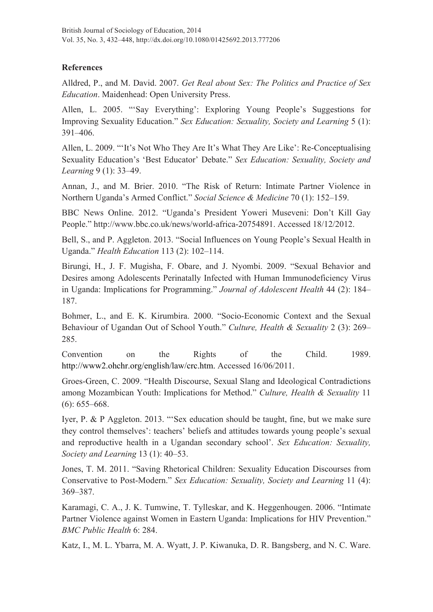#### **References**

Alldred, P., and M. David. 2007. *Get Real about Sex: The Politics and Practice of Sex Education*. Maidenhead: Open University Press.

Allen, L. 2005. "'Say Everything': Exploring Young People's Suggestions for Improving Sexuality Education." *Sex Education: Sexuality, Society and Learning* 5 (1): 391–406.

Allen, L. 2009. "'It's Not Who They Are It's What They Are Like': Re-Conceptualising Sexuality Education's 'Best Educator' Debate." *Sex Education: Sexuality, Society and Learning* 9 (1): 33–49.

Annan, J., and M. Brier. 2010. "The Risk of Return: Intimate Partner Violence in Northern Uganda's Armed Conflict." *Social Science & Medicine* 70 (1): 152–159.

BBC News Online. 2012. "Uganda's President Yoweri Museveni: Don't Kill Gay People." http://www.bbc.co.uk/news/world-africa-20754891. Accessed 18/12/2012.

Bell, S., and P. Aggleton. 2013. "Social Influences on Young People's Sexual Health in Uganda." *Health Education* 113 (2): 102–114.

Birungi, H., J. F. Mugisha, F. Obare, and J. Nyombi. 2009. "Sexual Behavior and Desires among Adolescents Perinatally Infected with Human Immunodeficiency Virus in Uganda: Implications for Programming." *Journal of Adolescent Health* 44 (2): 184– 187.

Bohmer, L., and E. K. Kirumbira. 2000. "Socio-Economic Context and the Sexual Behaviour of Ugandan Out of School Youth." *Culture, Health & Sexuality* 2 (3): 269– 285.

Convention on the Rights of the Child. 1989. http://www2.ohchr.org/english/law/crc.htm. Accessed 16/06/2011.

Groes-Green, C. 2009. "Health Discourse, Sexual Slang and Ideological Contradictions among Mozambican Youth: Implications for Method." *Culture, Health & Sexuality* 11 (6): 655–668.

Iyer, P. & P Aggleton. 2013. "'Sex education should be taught, fine, but we make sure they control themselves': teachers' beliefs and attitudes towards young people's sexual and reproductive health in a Ugandan secondary school'. *Sex Education: Sexuality, Society and Learning* 13 (1): 40–53.

Jones, T. M. 2011. "Saving Rhetorical Children: Sexuality Education Discourses from Conservative to Post-Modern." *Sex Education: Sexuality, Society and Learning* 11 (4): 369–387.

Karamagi, C. A., J. K. Tumwine, T. Tylleskar, and K. Heggenhougen. 2006. "Intimate Partner Violence against Women in Eastern Uganda: Implications for HIV Prevention." *BMC Public Health* 6: 284.

Katz, I., M. L. Ybarra, M. A. Wyatt, J. P. Kiwanuka, D. R. Bangsberg, and N. C. Ware.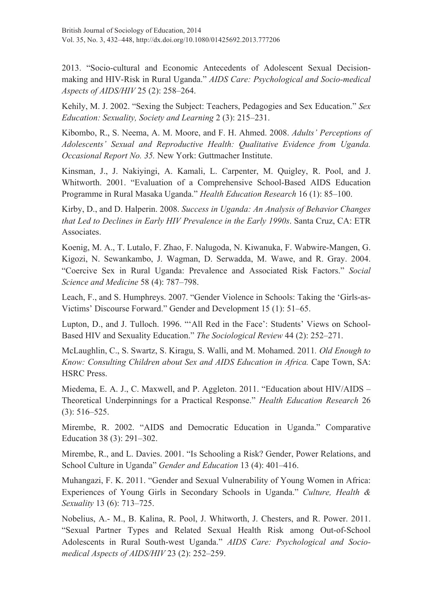2013. "Socio-cultural and Economic Antecedents of Adolescent Sexual Decisionmaking and HIV-Risk in Rural Uganda." *AIDS Care: Psychological and Socio-medical Aspects of AIDS/HIV* 25 (2): 258–264.

Kehily, M. J. 2002. "Sexing the Subject: Teachers, Pedagogies and Sex Education." *Sex Education: Sexuality, Society and Learning* 2 (3): 215–231.

Kibombo, R., S. Neema, A. M. Moore, and F. H. Ahmed. 2008. *Adults' Perceptions of Adolescents' Sexual and Reproductive Health: Qualitative Evidence from Uganda. Occasional Report No. 35.* New York: Guttmacher Institute.

Kinsman, J., J. Nakiyingi, A. Kamali, L. Carpenter, M. Quigley, R. Pool, and J. Whitworth. 2001. "Evaluation of a Comprehensive School-Based AIDS Education Programme in Rural Masaka Uganda." *Health Education Research* 16 (1): 85–100.

Kirby, D., and D. Halperin. 2008. *Success in Uganda: An Analysis of Behavior Changes that Led to Declines in Early HIV Prevalence in the Early 1990s*. Santa Cruz, CA: ETR Associates.

Koenig, M. A., T. Lutalo, F. Zhao, F. Nalugoda, N. Kiwanuka, F. Wabwire-Mangen, G. Kigozi, N. Sewankambo, J. Wagman, D. Serwadda, M. Wawe, and R. Gray. 2004. "Coercive Sex in Rural Uganda: Prevalence and Associated Risk Factors." *Social Science and Medicine* 58 (4): 787–798.

Leach, F., and S. Humphreys. 2007. "Gender Violence in Schools: Taking the 'Girls-as-Victims' Discourse Forward." Gender and Development 15 (1): 51–65.

Lupton, D., and J. Tulloch. 1996. "'All Red in the Face': Students' Views on School-Based HIV and Sexuality Education." *The Sociological Review* 44 (2): 252–271.

McLaughlin, C., S. Swartz, S. Kiragu, S. Walli, and M. Mohamed. 2011*. Old Enough to Know: Consulting Children about Sex and AIDS Education in Africa.* Cape Town, SA: HSRC Press.

Miedema, E. A. J., C. Maxwell, and P. Aggleton. 2011. "Education about HIV/AIDS – Theoretical Underpinnings for a Practical Response." *Health Education Research* 26 (3): 516–525.

Mirembe, R. 2002. "AIDS and Democratic Education in Uganda." Comparative Education 38 (3): 291–302.

Mirembe, R., and L. Davies. 2001. "Is Schooling a Risk? Gender, Power Relations, and School Culture in Uganda" *Gender and Education* 13 (4): 401–416.

Muhangazi, F. K. 2011. "Gender and Sexual Vulnerability of Young Women in Africa: Experiences of Young Girls in Secondary Schools in Uganda." *Culture, Health & Sexuality* 13 (6): 713–725.

Nobelius, A.- M., B. Kalina, R. Pool, J. Whitworth, J. Chesters, and R. Power. 2011. "Sexual Partner Types and Related Sexual Health Risk among Out-of-School Adolescents in Rural South-west Uganda." *AIDS Care: Psychological and Sociomedical Aspects of AIDS/HIV* 23 (2): 252–259.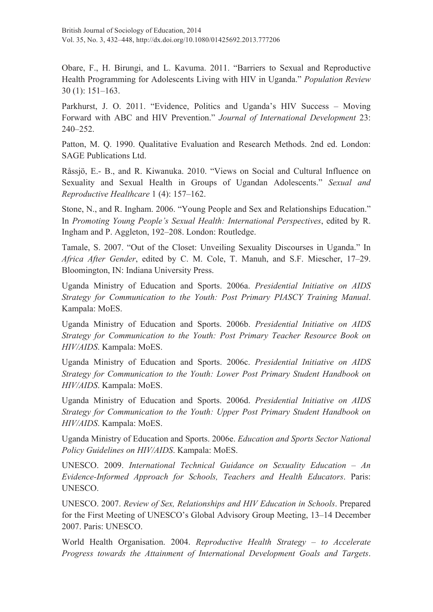Obare, F., H. Birungi, and L. Kavuma. 2011. "Barriers to Sexual and Reproductive Health Programming for Adolescents Living with HIV in Uganda." *Population Review* 30 (1): 151–163.

Parkhurst, J. O. 2011. "Evidence, Politics and Uganda's HIV Success – Moving Forward with ABC and HIV Prevention." *Journal of International Development* 23: 240–252.

Patton, M. Q. 1990. Qualitative Evaluation and Research Methods. 2nd ed. London: SAGE Publications Ltd.

Råssjö, E.- B., and R. Kiwanuka. 2010. "Views on Social and Cultural Influence on Sexuality and Sexual Health in Groups of Ugandan Adolescents." *Sexual and Reproductive Healthcare* 1 (4): 157–162.

Stone, N., and R. Ingham. 2006. "Young People and Sex and Relationships Education." In *Promoting Young People's Sexual Health: International Perspectives*, edited by R. Ingham and P. Aggleton, 192–208. London: Routledge.

Tamale, S. 2007. "Out of the Closet: Unveiling Sexuality Discourses in Uganda." In *Africa After Gender*, edited by C. M. Cole, T. Manuh, and S.F. Miescher, 17–29. Bloomington, IN: Indiana University Press.

Uganda Ministry of Education and Sports. 2006a. *Presidential Initiative on AIDS Strategy for Communication to the Youth: Post Primary PIASCY Training Manual*. Kampala: MoES.

Uganda Ministry of Education and Sports. 2006b. *Presidential Initiative on AIDS Strategy for Communication to the Youth: Post Primary Teacher Resource Book on HIV/AIDS*. Kampala: MoES.

Uganda Ministry of Education and Sports. 2006c. *Presidential Initiative on AIDS Strategy for Communication to the Youth: Lower Post Primary Student Handbook on HIV/AIDS*. Kampala: MoES.

Uganda Ministry of Education and Sports. 2006d. *Presidential Initiative on AIDS Strategy for Communication to the Youth: Upper Post Primary Student Handbook on HIV/AIDS*. Kampala: MoES.

Uganda Ministry of Education and Sports. 2006e. *Education and Sports Sector National Policy Guidelines on HIV/AIDS*. Kampala: MoES.

UNESCO. 2009. *International Technical Guidance on Sexuality Education – An Evidence-Informed Approach for Schools, Teachers and Health Educators*. Paris: UNESCO.

UNESCO. 2007. *Review of Sex, Relationships and HIV Education in Schools*. Prepared for the First Meeting of UNESCO's Global Advisory Group Meeting, 13–14 December 2007. Paris: UNESCO.

World Health Organisation. 2004. *Reproductive Health Strategy – to Accelerate Progress towards the Attainment of International Development Goals and Targets*.